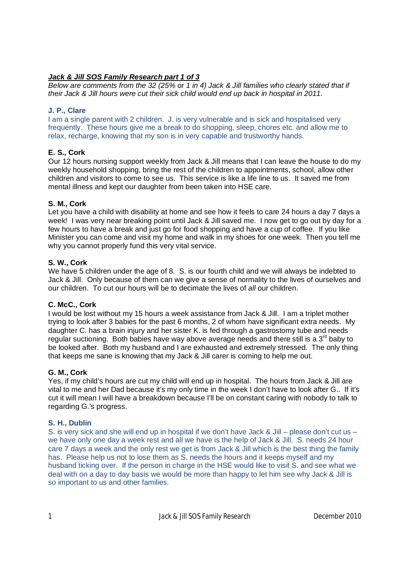# *Jack & Jill SOS Family Research part 1 of 3*

*Below are comments from the 32 (25% or 1 in 4) Jack & Jill families who clearly stated that if their Jack & Jill hours were cut their sick child would end up back in hospital in 2011.* 

## **J. P., Clare**

I am a single parent with 2 children. J. is very vulnerable and is sick and hospitalised very frequently. These hours give me a break to do shopping, sleep, chores etc. and allow me to relax, recharge, knowing that my son is in very capable and trustworthy hands.

# **E. S., Cork**

Our 12 hours nursing support weekly from Jack & Jill means that I can leave the house to do my weekly household shopping, bring the rest of the children to appointments, school, allow other children and visitors to come to see us. This service is like a life line to us. It saved me from mental illness and kept our daughter from been taken into HSE care.

## **S. M., Cork**

Let you have a child with disability at home and see how it feels to care 24 hours a day 7 days a week! I was very near breaking point until Jack & Jill saved me. I now get to go out by day for a few hours to have a break and just go for food shopping and have a cup of coffee. If you like Minister you can come and visit my home and walk in my shoes for one week. Then you tell me why you cannot properly fund this very vital service.

## **S. W., Cork**

We have 5 children under the age of 8. S. is our fourth child and we will always be indebted to Jack & Jill. Only because of them can we give a sense of normality to the lives of ourselves and our children. To cut our hours will be to decimate the lives of *all* our children.

## **C. McC., Cork**

I would be lost without my 15 hours a week assistance from Jack & Jill. I am a triplet mother trying to look after 3 babies for the past 6 months, 2 of whom have significant extra needs. My daughter C. has a brain injury and her sister K. is fed through a gastrostomy tube and needs regular suctioning. Both babies have way above average needs and there still is a  $3<sup>rd</sup>$  baby to be looked after. Both my husband and I are exhausted and extremely stressed. The only thing that keeps me sane is knowing that my Jack & Jill carer is coming to help me out.

## **G. M., Cork**

Yes, if my child's hours are cut my child will end up in hospital. The hours from Jack & Jill are vital to me and her Dad because it's my only time in the week I don't have to look after G.. If it's cut it will mean I will have a breakdown because I'll be on constant caring with nobody to talk to regarding G.'s progress.

## **S. H., Dublin**

S. is very sick and she will end up in hospital if we don't have Jack & Jill – please don't cut us – we have only one day a week rest and all we have is the help of Jack & Jill. S. needs 24 hour care 7 days a week and the only rest we get is from Jack & Jill which is the best thing the family has. Please help us not to lose them as S. needs the hours and it keeps myself and my husband ticking over. If the person in charge in the HSE would like to visit S. and see what we deal with on a day to day basis we would be more than happy to let him see why Jack & Jill is so important to us and other families.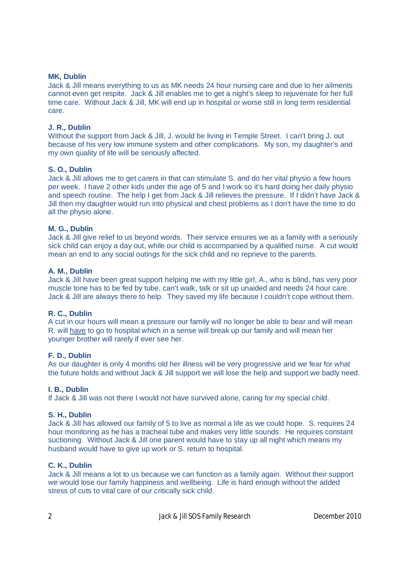### **MK, Dublin**

Jack & Jill means everything to us as MK needs 24 hour nursing care and due to her ailments cannot even get respite. Jack & Jill enables me to get a night's sleep to rejuvenate for her full time care. Without Jack & Jill, MK will end up in hospital or worse still in long term residential care.

### **J. R., Dublin**

Without the support from Jack & Jill, J. would be living in Temple Street. I can't bring J. out because of his very low immune system and other complications. My son, my daughter's and my own quality of life will be seriously affected.

### **S. O., Dublin**

Jack & Jill allows me to get carers in that can stimulate S. and do her vital physio a few hours per week. I have 2 other kids under the age of 5 and I work so it's hard doing her daily physio and speech routine. The help I get from Jack & Jill relieves the pressure. If I didn't have Jack & Jill then my daughter would run into physical and chest problems as I don't have the time to do all the physio alone.

### **M. G., Dublin**

Jack & Jill give relief to us beyond words. Their service ensures we as a family with a seriously sick child can enjoy a day out, while our child is accompanied by a qualified nurse. A cut would mean an end to any social outings for the sick child and no reprieve to the parents.

### **A. M., Dublin**

Jack & Jill have been great support helping me with my little girl, A., who is blind, has very poor muscle tone has to be fed by tube, can't walk, talk or sit up unaided and needs 24 hour care. Jack & Jill are always there to help. They saved my life because I couldn't cope without them.

#### **R. C., Dublin**

A cut in our hours will mean a pressure our family will no longer be able to bear and will mean R. will have to go to hospital which in a sense will break up our family and will mean her younger brother will rarely if ever see her.

#### **F. D., Dublin**

As our daughter is only 4 months old her illness will be very progressive and we fear for what the future holds and without Jack & Jill support we will lose the help and support we badly need.

#### **I. B., Dublin**

If Jack & Jill was not there I would not have survived alone, caring for my special child.

#### **S. H., Dublin**

Jack & Jill has allowed our family of 5 to live as normal a life as we could hope. S. requires 24 hour monitoring as he has a tracheal tube and makes very little sounds. He requires constant suctioning. Without Jack & Jill one parent would have to stay up all night which means my husband would have to give up work or S. return to hospital.

#### **C. K., Dublin**

Jack & Jill means a lot to us because we can function as a family again. Without their support we would lose our family happiness and wellbeing. Life is hard enough without the added stress of cuts to vital care of our critically sick child.

2 Jack & Jill SOS Family Research December 2010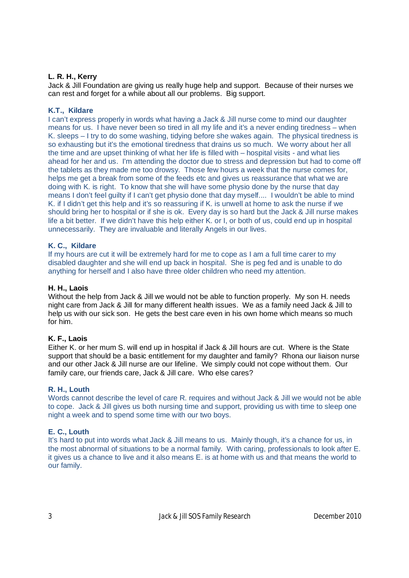## **L. R. H., Kerry**

Jack & Jill Foundation are giving us really huge help and support. Because of their nurses we can rest and forget for a while about all our problems. Big support.

## **K.T., Kildare**

I can't express properly in words what having a Jack & Jill nurse come to mind our daughter means for us. I have never been so tired in all my life and it's a never ending tiredness – when K. sleeps – I try to do some washing, tidying before she wakes again. The physical tiredness is so exhausting but it's the emotional tiredness that drains us so much. We worry about her all the time and are upset thinking of what her life is filled with – hospital visits - and what lies ahead for her and us. I'm attending the doctor due to stress and depression but had to come off the tablets as they made me too drowsy. Those few hours a week that the nurse comes for, helps me get a break from some of the feeds etc and gives us reassurance that what we are doing with K. is right. To know that she will have some physio done by the nurse that day means I don't feel guilty if I can't get physio done that day myself.... I wouldn't be able to mind K. if I didn't get this help and it's so reassuring if K. is unwell at home to ask the nurse if we should bring her to hospital or if she is ok. Every day is so hard but the Jack & Jill nurse makes life a bit better. If we didn't have this help either K. or I, or both of us, could end up in hospital unnecessarily. They are invaluable and literally Angels in our lives.

# **K. C., Kildare**

If my hours are cut it will be extremely hard for me to cope as I am a full time carer to my disabled daughter and she will end up back in hospital. She is peg fed and is unable to do anything for herself and I also have three older children who need my attention.

### **H. H., Laois**

Without the help from Jack & Jill we would not be able to function properly. My son H. needs night care from Jack & Jill for many different health issues. We as a family need Jack & Jill to help us with our sick son. He gets the best care even in his own home which means so much for him.

## **K. F., Laois**

Either K. or her mum S. will end up in hospital if Jack & Jill hours are cut. Where is the State support that should be a basic entitlement for my daughter and family? Rhona our liaison nurse and our other Jack & Jill nurse are our lifeline. We simply could not cope without them. Our family care, our friends care, Jack & Jill care. Who else cares?

## **R. H., Louth**

Words cannot describe the level of care R. requires and without Jack & Jill we would not be able to cope. Jack & Jill gives us both nursing time and support, providing us with time to sleep one night a week and to spend some time with our two boys.

## **E. C., Louth**

It's hard to put into words what Jack & Jill means to us. Mainly though, it's a chance for us, in the most abnormal of situations to be a normal family. With caring, professionals to look after E. it gives us a chance to live and it also means E. is at home with us and that means the world to our family.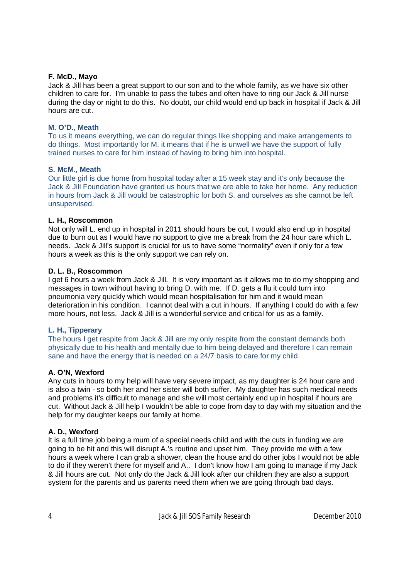### **F. McD., Mayo**

Jack & Jill has been a great support to our son and to the whole family, as we have six other children to care for. I'm unable to pass the tubes and often have to ring our Jack & Jill nurse during the day or night to do this. No doubt, our child would end up back in hospital if Jack & Jill hours are cut.

### **M. O'D., Meath**

To us it means everything, we can do regular things like shopping and make arrangements to do things. Most importantly for M. it means that if he is unwell we have the support of fully trained nurses to care for him instead of having to bring him into hospital.

### **S. McM., Meath**

Our little girl is due home from hospital today after a 15 week stay and it's only because the Jack & Jill Foundation have granted us hours that we are able to take her home. Any reduction in hours from Jack & Jill would be catastrophic for both S. and ourselves as she cannot be left unsupervised.

### **L. H., Roscommon**

Not only will L. end up in hospital in 2011 should hours be cut, I would also end up in hospital due to burn out as I would have no support to give me a break from the 24 hour care which L. needs. Jack & Jill's support is crucial for us to have some "normality" even if only for a few hours a week as this is the only support we can rely on.

### **D. L. B., Roscommon**

I get 6 hours a week from Jack & Jill. It is very important as it allows me to do my shopping and messages in town without having to bring D. with me. If D. gets a flu it could turn into pneumonia very quickly which would mean hospitalisation for him and it would mean deterioration in his condition. I cannot deal with a cut in hours. If anything I could do with a few more hours, not less. Jack & Jill is a wonderful service and critical for us as a family.

## **L. H., Tipperary**

The hours I get respite from Jack & Jill are my only respite from the constant demands both physically due to his health and mentally due to him being delayed and therefore I can remain sane and have the energy that is needed on a 24/7 basis to care for my child.

#### **A. O'N, Wexford**

Any cuts in hours to my help will have very severe impact, as my daughter is 24 hour care and is also a twin - so both her and her sister will both suffer. My daughter has such medical needs and problems it's difficult to manage and she will most certainly end up in hospital if hours are cut. Without Jack & Jill help I wouldn't be able to cope from day to day with my situation and the help for my daughter keeps our family at home.

## **A. D., Wexford**

It is a full time job being a mum of a special needs child and with the cuts in funding we are going to be hit and this will disrupt A.'s routine and upset him. They provide me with a few hours a week where I can grab a shower, clean the house and do other jobs I would not be able to do if they weren't there for myself and A.. I don't know how I am going to manage if my Jack & Jill hours are cut. Not only do the Jack & Jill look after our children they are also a support system for the parents and us parents need them when we are going through bad days.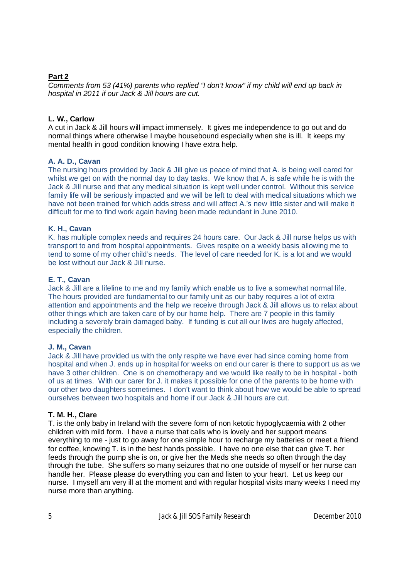# **Part 2**

*Comments from 53 (41%) parents who replied "I don't know" if my child will end up back in hospital in 2011 if our Jack & Jill hours are cut.*

# **L. W., Carlow**

A cut in Jack & Jill hours will impact immensely. It gives me independence to go out and do normal things where otherwise I maybe housebound especially when she is ill. It keeps my mental health in good condition knowing I have extra help.

# **A. A. D., Cavan**

The nursing hours provided by Jack & Jill give us peace of mind that A. is being well cared for whilst we get on with the normal day to day tasks. We know that A, is safe while he is with the Jack & Jill nurse and that any medical situation is kept well under control. Without this service family life will be seriously impacted and we will be left to deal with medical situations which we have not been trained for which adds stress and will affect A.'s new little sister and will make it difficult for me to find work again having been made redundant in June 2010.

## **K. H., Cavan**

K. has multiple complex needs and requires 24 hours care. Our Jack & Jill nurse helps us with transport to and from hospital appointments. Gives respite on a weekly basis allowing me to tend to some of my other child's needs. The level of care needed for K. is a lot and we would be lost without our Jack & Jill nurse.

## **E. T., Cavan**

Jack & Jill are a lifeline to me and my family which enable us to live a somewhat normal life. The hours provided are fundamental to our family unit as our baby requires a lot of extra attention and appointments and the help we receive through Jack & Jill allows us to relax about other things which are taken care of by our home help. There are 7 people in this family including a severely brain damaged baby. If funding is cut all our lives are hugely affected, especially the children.

## **J. M., Cavan**

Jack & Jill have provided us with the only respite we have ever had since coming home from hospital and when J. ends up in hospital for weeks on end our carer is there to support us as we have 3 other children. One is on chemotherapy and we would like really to be in hospital - both of us at times. With our carer for J. it makes it possible for one of the parents to be home with our other two daughters sometimes. I don't want to think about how we would be able to spread ourselves between two hospitals and home if our Jack & Jill hours are cut.

## **T. M. H., Clare**

T. is the only baby in Ireland with the severe form of non ketotic hypoglycaemia with 2 other children with mild form. I have a nurse that calls who is lovely and her support means everything to me - just to go away for one simple hour to recharge my batteries or meet a friend for coffee, knowing T. is in the best hands possible. I have no one else that can give T. her feeds through the pump she is on, or give her the Meds she needs so often through the day through the tube. She suffers so many seizures that no one outside of myself or her nurse can handle her. Please please do everything you can and listen to your heart. Let us keep our nurse. I myself am very ill at the moment and with regular hospital visits many weeks I need my nurse more than anything.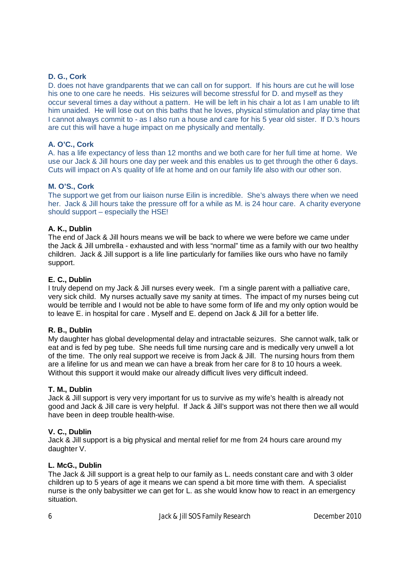## **D. G., Cork**

D. does not have grandparents that we can call on for support. If his hours are cut he will lose his one to one care he needs. His seizures will become stressful for D. and myself as they occur several times a day without a pattern. He will be left in his chair a lot as I am unable to lift him unaided. He will lose out on this baths that he loves, physical stimulation and play time that I cannot always commit to - as I also run a house and care for his 5 year old sister. If D.'s hours are cut this will have a huge impact on me physically and mentally.

### **A. O'C., Cork**

A. has a life expectancy of less than 12 months and we both care for her full time at home. We use our Jack & Jill hours one day per week and this enables us to get through the other 6 days. Cuts will impact on A's quality of life at home and on our family life also with our other son.

### **M. O'S., Cork**

The support we get from our liaison nurse Eilin is incredible. She's always there when we need her. Jack & Jill hours take the pressure off for a while as M. is 24 hour care. A charity everyone should support – especially the HSE!

### **A. K., Dublin**

The end of Jack & Jill hours means we will be back to where we were before we came under the Jack & Jill umbrella - exhausted and with less "normal" time as a family with our two healthy children. Jack & Jill support is a life line particularly for families like ours who have no family support.

### **E. C., Dublin**

I truly depend on my Jack & Jill nurses every week. I'm a single parent with a palliative care, very sick child. My nurses actually save my sanity at times. The impact of my nurses being cut would be terrible and I would not be able to have some form of life and my only option would be to leave E. in hospital for care . Myself and E. depend on Jack & Jill for a better life.

#### **R. B., Dublin**

My daughter has global developmental delay and intractable seizures. She cannot walk, talk or eat and is fed by peg tube. She needs full time nursing care and is medically very unwell a lot of the time. The only real support we receive is from Jack & Jill. The nursing hours from them are a lifeline for us and mean we can have a break from her care for 8 to 10 hours a week. Without this support it would make our already difficult lives very difficult indeed.

#### **T. M., Dublin**

Jack & Jill support is very very important for us to survive as my wife's health is already not good and Jack & Jill care is very helpful. If Jack & Jill's support was not there then we all would have been in deep trouble health-wise.

#### **V. C., Dublin**

Jack & Jill support is a big physical and mental relief for me from 24 hours care around my daughter V.

#### **L. McG., Dublin**

The Jack & Jill support is a great help to our family as L. needs constant care and with 3 older children up to 5 years of age it means we can spend a bit more time with them. A specialist nurse is the only babysitter we can get for L. as she would know how to react in an emergency situation.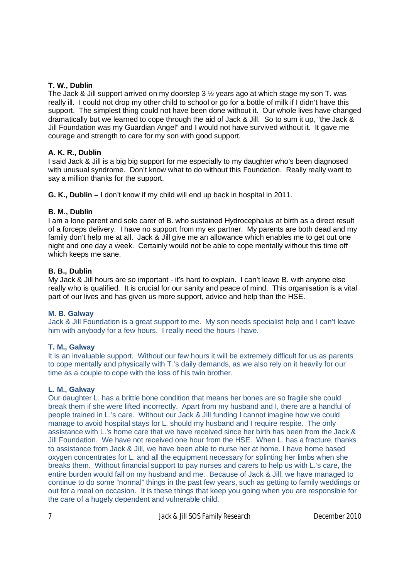## **T. W., Dublin**

The Jack & Jill support arrived on my doorstep 3 ½ years ago at which stage my son T. was really ill. I could not drop my other child to school or go for a bottle of milk if I didn't have this support. The simplest thing could not have been done without it. Our whole lives have changed dramatically but we learned to cope through the aid of Jack & Jill. So to sum it up, "the Jack & Jill Foundation was my Guardian Angel" and I would not have survived without it. It gave me courage and strength to care for my son with good support.

## **A. K. R., Dublin**

I said Jack & Jill is a big big support for me especially to my daughter who's been diagnosed with unusual syndrome. Don't know what to do without this Foundation. Really really want to say a million thanks for the support.

**G. K., Dublin –** I don't know if my child will end up back in hospital in 2011.

# **B. M., Dublin**

I am a lone parent and sole carer of B. who sustained Hydrocephalus at birth as a direct result of a forceps delivery. I have no support from my ex partner. My parents are both dead and my family don't help me at all. Jack & Jill give me an allowance which enables me to get out one night and one day a week. Certainly would not be able to cope mentally without this time off which keeps me sane.

# **B. B., Dublin**

My Jack & Jill hours are so important - it's hard to explain. I can't leave B. with anyone else really who is qualified. It is crucial for our sanity and peace of mind. This organisation is a vital part of our lives and has given us more support, advice and help than the HSE.

## **M. B. Galway**

Jack & Jill Foundation is a great support to me. My son needs specialist help and I can't leave him with anybody for a few hours. I really need the hours I have.

## **T. M., Galway**

It is an invaluable support. Without our few hours it will be extremely difficult for us as parents to cope mentally and physically with T.'s daily demands, as we also rely on it heavily for our time as a couple to cope with the loss of his twin brother.

## **L. M., Galway**

Our daughter L. has a brittle bone condition that means her bones are so fragile she could break them if she were lifted incorrectly. Apart from my husband and I, there are a handful of people trained in L.'s care. Without our Jack & Jill funding I cannot imagine how we could manage to avoid hospital stays for L. should my husband and I require respite. The only assistance with L.'s home care that we have received since her birth has been from the Jack & Jill Foundation. We have not received one hour from the HSE. When L. has a fracture, thanks to assistance from Jack & Jill, we have been able to nurse her at home. I have home based oxygen concentrates for L. and all the equipment necessary for splinting her limbs when she breaks them. Without financial support to pay nurses and carers to help us with L.'s care, the entire burden would fall on my husband and me. Because of Jack & Jill, we have managed to continue to do some "normal" things in the past few years, such as getting to family weddings or out for a meal on occasion. It is these things that keep you going when you are responsible for the care of a hugely dependent and vulnerable child.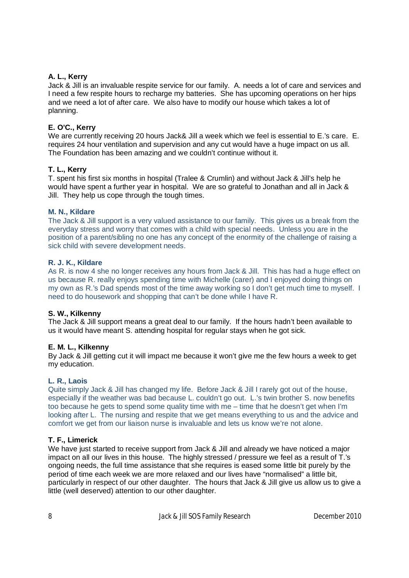## **A. L., Kerry**

Jack & Jill is an invaluable respite service for our family. A. needs a lot of care and services and I need a few respite hours to recharge my batteries. She has upcoming operations on her hips and we need a lot of after care. We also have to modify our house which takes a lot of planning.

## **E. O'C., Kerry**

We are currently receiving 20 hours Jack& Jill a week which we feel is essential to E.'s care. E. requires 24 hour ventilation and supervision and any cut would have a huge impact on us all. The Foundation has been amazing and we couldn't continue without it.

## **T. L., Kerry**

T. spent his first six months in hospital (Tralee & Crumlin) and without Jack & Jill's help he would have spent a further year in hospital. We are so grateful to Jonathan and all in Jack & Jill. They help us cope through the tough times.

## **M. N., Kildare**

The Jack & Jill support is a very valued assistance to our family. This gives us a break from the everyday stress and worry that comes with a child with special needs. Unless you are in the position of a parent/sibling no one has any concept of the enormity of the challenge of raising a sick child with severe development needs.

## **R. J. K., Kildare**

As R. is now 4 she no longer receives any hours from Jack & Jill. This has had a huge effect on us because R. really enjoys spending time with Michelle (carer) and I enjoyed doing things on my own as R.'s Dad spends most of the time away working so I don't get much time to myself. I need to do housework and shopping that can't be done while I have R.

## **S. W., Kilkenny**

The Jack & Jill support means a great deal to our family. If the hours hadn't been available to us it would have meant S. attending hospital for regular stays when he got sick.

## **E. M. L., Kilkenny**

By Jack & Jill getting cut it will impact me because it won't give me the few hours a week to get my education.

## **L. R., Laois**

Quite simply Jack & Jill has changed my life. Before Jack & Jill I rarely got out of the house, especially if the weather was bad because L. couldn't go out. L.'s twin brother S. now benefits too because he gets to spend some quality time with me – time that he doesn't get when I'm looking after L. The nursing and respite that we get means everything to us and the advice and comfort we get from our liaison nurse is invaluable and lets us know we're not alone.

# **T. F., Limerick**

We have just started to receive support from Jack & Jill and already we have noticed a major impact on all our lives in this house. The highly stressed / pressure we feel as a result of T.'s ongoing needs, the full time assistance that she requires is eased some little bit purely by the period of time each week we are more relaxed and our lives have "normalised" a little bit, particularly in respect of our other daughter. The hours that Jack & Jill give us allow us to give a little (well deserved) attention to our other daughter.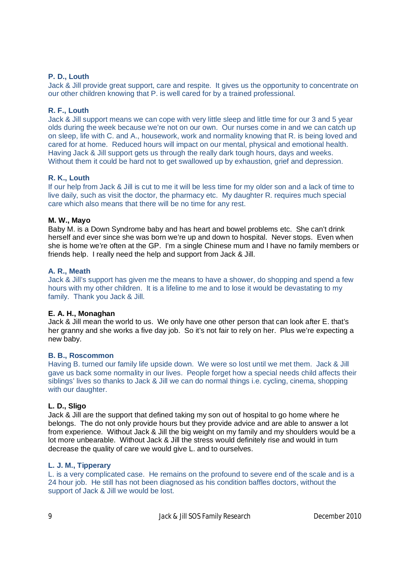### **P. D., Louth**

Jack & Jill provide great support, care and respite. It gives us the opportunity to concentrate on our other children knowing that P. is well cared for by a trained professional.

### **R. F., Louth**

Jack & Jill support means we can cope with very little sleep and little time for our 3 and 5 year olds during the week because we're not on our own. Our nurses come in and we can catch up on sleep, life with C. and A., housework, work and normality knowing that R. is being loved and cared for at home. Reduced hours will impact on our mental, physical and emotional health. Having Jack & Jill support gets us through the really dark tough hours, days and weeks. Without them it could be hard not to get swallowed up by exhaustion, grief and depression.

#### **R. K., Louth**

If our help from Jack & Jill is cut to me it will be less time for my older son and a lack of time to live daily, such as visit the doctor, the pharmacy etc. My daughter R. requires much special care which also means that there will be no time for any rest.

#### **M. W., Mayo**

Baby M. is a Down Syndrome baby and has heart and bowel problems etc. She can't drink herself and ever since she was born we're up and down to hospital. Never stops. Even when she is home we're often at the GP. I'm a single Chinese mum and I have no family members or friends help. I really need the help and support from Jack & Jill.

### **A. R., Meath**

Jack & Jill's support has given me the means to have a shower, do shopping and spend a few hours with my other children. It is a lifeline to me and to lose it would be devastating to my family. Thank you Jack & Jill.

#### **E. A. H., Monaghan**

Jack & Jill mean the world to us. We only have one other person that can look after E. that's her granny and she works a five day job. So it's not fair to rely on her. Plus we're expecting a new baby.

#### **B. B., Roscommon**

Having B. turned our family life upside down. We were so lost until we met them. Jack & Jill gave us back some normality in our lives. People forget how a special needs child affects their siblings' lives so thanks to Jack & Jill we can do normal things i.e. cycling, cinema, shopping with our daughter.

#### **L. D., Sligo**

Jack & Jill are the support that defined taking my son out of hospital to go home where he belongs. The do not only provide hours but they provide advice and are able to answer a lot from experience. Without Jack & Jill the big weight on my family and my shoulders would be a lot more unbearable. Without Jack & Jill the stress would definitely rise and would in turn decrease the quality of care we would give L. and to ourselves.

#### **L. J. M., Tipperary**

L. is a very complicated case. He remains on the profound to severe end of the scale and is a 24 hour job. He still has not been diagnosed as his condition baffles doctors, without the support of Jack & Jill we would be lost.

9 Jack & Jill SOS Family Research December 2010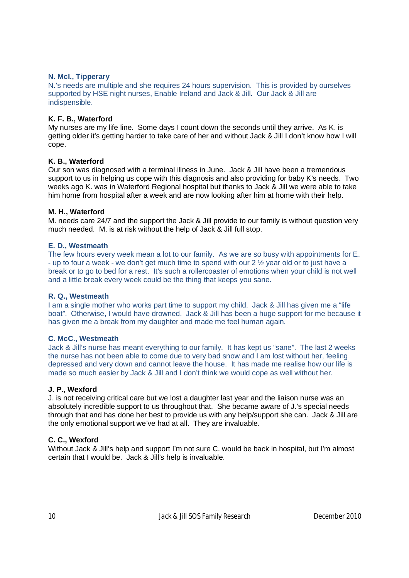### **N. McI., Tipperary**

N.'s needs are multiple and she requires 24 hours supervision. This is provided by ourselves supported by HSE night nurses, Enable Ireland and Jack & Jill. Our Jack & Jill are indispensible.

### **K. F. B., Waterford**

My nurses are my life line. Some days I count down the seconds until they arrive. As K. is getting older it's getting harder to take care of her and without Jack & Jill I don't know how I will cope.

### **K. B., Waterford**

Our son was diagnosed with a terminal illness in June. Jack & Jill have been a tremendous support to us in helping us cope with this diagnosis and also providing for baby K's needs. Two weeks ago K. was in Waterford Regional hospital but thanks to Jack & Jill we were able to take him home from hospital after a week and are now looking after him at home with their help.

#### **M. H., Waterford**

M. needs care 24/7 and the support the Jack & Jill provide to our family is without question very much needed. M. is at risk without the help of Jack & Jill full stop.

### **E. D., Westmeath**

The few hours every week mean a lot to our family. As we are so busy with appointments for E. - up to four a week - we don't get much time to spend with our 2 ½ year old or to just have a break or to go to bed for a rest. It's such a rollercoaster of emotions when your child is not well and a little break every week could be the thing that keeps you sane.

#### **R. Q., Westmeath**

I am a single mother who works part time to support my child. Jack & Jill has given me a "life" boat". Otherwise, I would have drowned. Jack & Jill has been a huge support for me because it has given me a break from my daughter and made me feel human again.

#### **C. McC., Westmeath**

Jack & Jill's nurse has meant everything to our family. It has kept us "sane". The last 2 weeks the nurse has not been able to come due to very bad snow and I am lost without her, feeling depressed and very down and cannot leave the house. It has made me realise how our life is made so much easier by Jack & Jill and I don't think we would cope as well without her.

#### **J. P., Wexford**

J. is not receiving critical care but we lost a daughter last year and the liaison nurse was an absolutely incredible support to us throughout that. She became aware of J.'s special needs through that and has done her best to provide us with any help/support she can. Jack & Jill are the only emotional support we've had at all. They are invaluable.

#### **C. C., Wexford**

Without Jack & Jill's help and support I'm not sure C. would be back in hospital, but I'm almost certain that I would be. Jack & Jill's help is invaluable.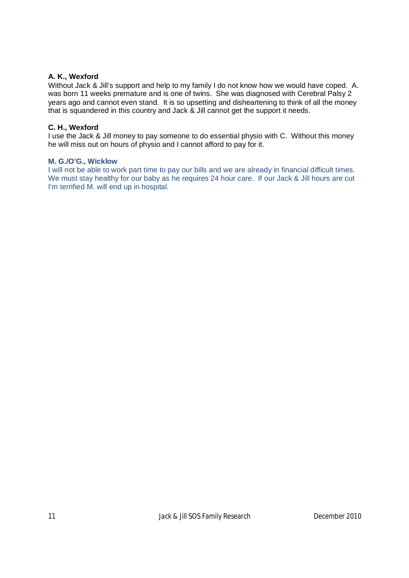## **A. K., Wexford**

Without Jack & Jill's support and help to my family I do not know how we would have coped. A. was born 11 weeks premature and is one of twins. She was diagnosed with Cerebral Palsy 2 years ago and cannot even stand. It is so upsetting and disheartening to think of all the money that is squandered in this country and Jack & Jill cannot get the support it needs.

## **C. H., Wexford**

I use the Jack & Jill money to pay someone to do essential physio with C. Without this money he will miss out on hours of physio and I cannot afford to pay for it.

### **M. G./O'G., Wicklow**

I will not be able to work part time to pay our bills and we are already in financial difficult times. We must stay healthy for our baby as he requires 24 hour care. If our Jack & Jill hours are cut I'm terrified M. will end up in hospital.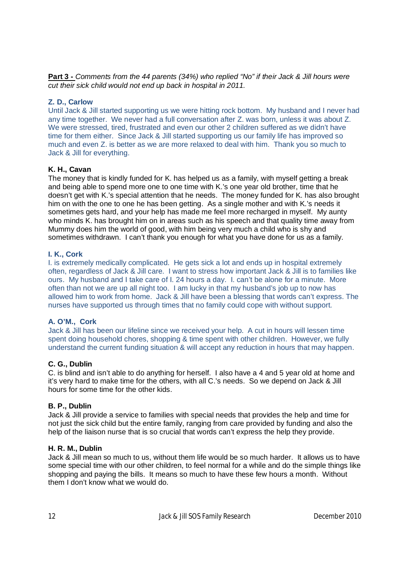**Part 3 -** *Comments from the 44 parents (34%) who replied "No" if their Jack & Jill hours were cut their sick child would not end up back in hospital in 2011.* 

## **Z. D., Carlow**

Until Jack & Jill started supporting us we were hitting rock bottom. My husband and I never had any time together. We never had a full conversation after Z. was born, unless it was about Z. We were stressed, tired, frustrated and even our other 2 children suffered as we didn't have time for them either. Since Jack & Jill started supporting us our family life has improved so much and even Z. is better as we are more relaxed to deal with him. Thank you so much to Jack & Jill for everything.

# **K. H., Cavan**

The money that is kindly funded for K. has helped us as a family, with myself getting a break and being able to spend more one to one time with K.'s one year old brother, time that he doesn't get with K.'s special attention that he needs. The money funded for K. has also brought him on with the one to one he has been getting. As a single mother and with K.'s needs it sometimes gets hard, and your help has made me feel more recharged in myself. My aunty who minds K. has brought him on in areas such as his speech and that quality time away from Mummy does him the world of good, with him being very much a child who is shy and sometimes withdrawn. I can't thank you enough for what you have done for us as a family.

## **I. K., Cork**

I. is extremely medically complicated. He gets sick a lot and ends up in hospital extremely often, regardless of Jack & Jill care. I want to stress how important Jack & Jill is to families like ours. My husband and I take care of I. 24 hours a day. I. can't be alone for a minute. More often than not we are up all night too. I am lucky in that my husband's job up to now has allowed him to work from home. Jack & Jill have been a blessing that words can't express. The nurses have supported us through times that no family could cope with without support.

## **A. O'M., Cork**

Jack & Jill has been our lifeline since we received your help. A cut in hours will lessen time spent doing household chores, shopping & time spent with other children. However, we fully understand the current funding situation & will accept any reduction in hours that may happen.

## **C. G., Dublin**

C. is blind and isn't able to do anything for herself. I also have a 4 and 5 year old at home and it's very hard to make time for the others, with all C.'s needs. So we depend on Jack & Jill hours for some time for the other kids.

## **B. P., Dublin**

Jack & Jill provide a service to families with special needs that provides the help and time for not just the sick child but the entire family, ranging from care provided by funding and also the help of the liaison nurse that is so crucial that words can't express the help they provide.

## **H. R. M., Dublin**

Jack & Jill mean so much to us, without them life would be so much harder. It allows us to have some special time with our other children, to feel normal for a while and do the simple things like shopping and paying the bills. It means so much to have these few hours a month. Without them I don't know what we would do.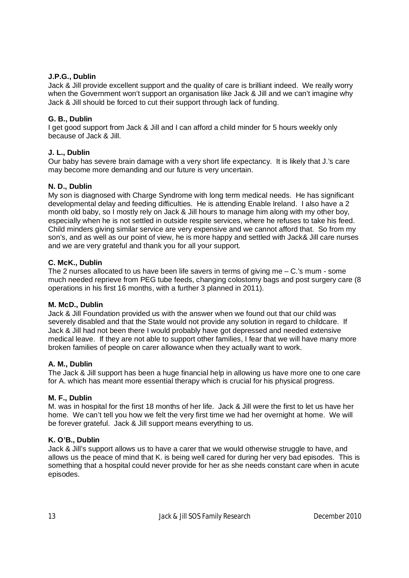## **J.P.G., Dublin**

Jack & Jill provide excellent support and the quality of care is brilliant indeed. We really worry when the Government won't support an organisation like Jack & Jill and we can't imagine why Jack & Jill should be forced to cut their support through lack of funding.

# **G. B., Dublin**

I get good support from Jack & Jill and I can afford a child minder for 5 hours weekly only because of Jack & Jill.

# **J. L., Dublin**

Our baby has severe brain damage with a very short life expectancy. It is likely that J.'s care may become more demanding and our future is very uncertain.

# **N. D., Dublin**

My son is diagnosed with Charge Syndrome with long term medical needs. He has significant developmental delay and feeding difficulties. He is attending Enable Ireland. I also have a 2 month old baby, so I mostly rely on Jack & Jill hours to manage him along with my other boy, especially when he is not settled in outside respite services, where he refuses to take his feed. Child minders giving similar service are very expensive and we cannot afford that. So from my son's, and as well as our point of view, he is more happy and settled with Jack& Jill care nurses and we are very grateful and thank you for all your support.

## **C. McK., Dublin**

The 2 nurses allocated to us have been life savers in terms of giving me – C.'s mum - some much needed reprieve from PEG tube feeds, changing colostomy bags and post surgery care (8 operations in his first 16 months, with a further 3 planned in 2011).

## **M. McD., Dublin**

Jack & Jill Foundation provided us with the answer when we found out that our child was severely disabled and that the State would not provide any solution in regard to childcare. If Jack & Jill had not been there I would probably have got depressed and needed extensive medical leave. If they are not able to support other families, I fear that we will have many more broken families of people on carer allowance when they actually want to work.

## **A. M., Dublin**

The Jack & Jill support has been a huge financial help in allowing us have more one to one care for A. which has meant more essential therapy which is crucial for his physical progress.

## **M. F., Dublin**

M. was in hospital for the first 18 months of her life. Jack & Jill were the first to let us have her home. We can't tell you how we felt the very first time we had her overnight at home. We will be forever grateful. Jack & Jill support means everything to us.

## **K. O'B., Dublin**

Jack & Jill's support allows us to have a carer that we would otherwise struggle to have, and allows us the peace of mind that K. is being well cared for during her very bad episodes. This is something that a hospital could never provide for her as she needs constant care when in acute episodes.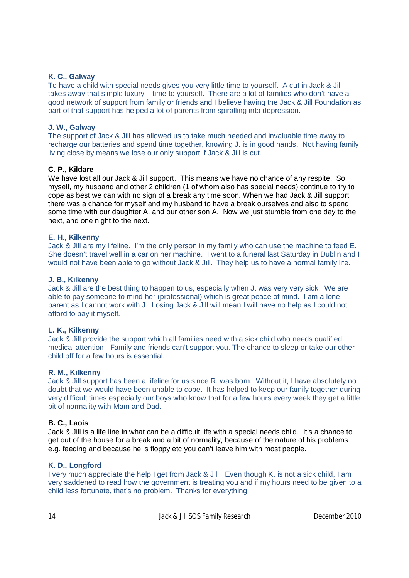### **K. C., Galway**

To have a child with special needs gives you very little time to yourself. A cut in Jack & Jill takes away that simple luxury – time to yourself. There are a lot of families who don't have a good network of support from family or friends and I believe having the Jack & Jill Foundation as part of that support has helped a lot of parents from spiralling into depression.

### **J. W., Galway**

The support of Jack & Jill has allowed us to take much needed and invaluable time away to recharge our batteries and spend time together, knowing J. is in good hands. Not having family living close by means we lose our only support if Jack & Jill is cut.

### **C. P., Kildare**

We have lost all our Jack & Jill support. This means we have no chance of any respite. So myself, my husband and other 2 children (1 of whom also has special needs) continue to try to cope as best we can with no sign of a break any time soon. When we had Jack & Jill support there was a chance for myself and my husband to have a break ourselves and also to spend some time with our daughter A. and our other son A.. Now we just stumble from one day to the next, and one night to the next.

### **E. H., Kilkenny**

Jack & Jill are my lifeline. I'm the only person in my family who can use the machine to feed E. She doesn't travel well in a car on her machine. I went to a funeral last Saturday in Dublin and I would not have been able to go without Jack & Jill. They help us to have a normal family life.

### **J. B., Kilkenny**

Jack & Jill are the best thing to happen to us, especially when J. was very very sick. We are able to pay someone to mind her (professional) which is great peace of mind. I am a lone parent as I cannot work with J. Losing Jack & Jill will mean I will have no help as I could not afford to pay it myself.

#### **L. K., Kilkenny**

Jack & Jill provide the support which all families need with a sick child who needs qualified medical attention. Family and friends can't support you. The chance to sleep or take our other child off for a few hours is essential.

#### **R. M., Kilkenny**

Jack & Jill support has been a lifeline for us since R. was born. Without it, I have absolutely no doubt that we would have been unable to cope. It has helped to keep our family together during very difficult times especially our boys who know that for a few hours every week they get a little bit of normality with Mam and Dad.

#### **B. C., Laois**

Jack & Jill is a life line in what can be a difficult life with a special needs child. It's a chance to get out of the house for a break and a bit of normality, because of the nature of his problems e.g. feeding and because he is floppy etc you can't leave him with most people.

#### **K. D., Longford**

I very much appreciate the help I get from Jack & Jill. Even though K. is not a sick child, I am very saddened to read how the government is treating you and if my hours need to be given to a child less fortunate, that's no problem. Thanks for everything.

14 Jack & Jill SOS Family Research December 2010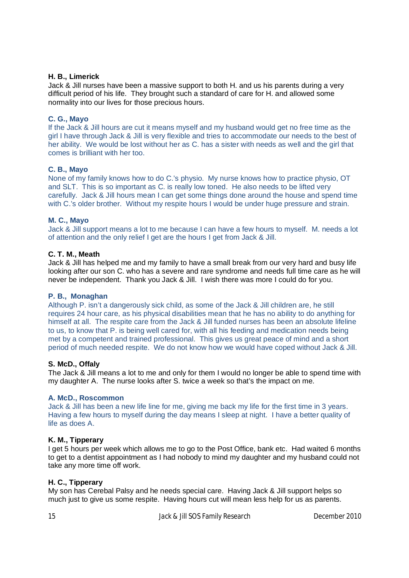### **H. B., Limerick**

Jack & Jill nurses have been a massive support to both H. and us his parents during a very difficult period of his life. They brought such a standard of care for H. and allowed some normality into our lives for those precious hours.

## **C. G., Mayo**

If the Jack & Jill hours are cut it means myself and my husband would get no free time as the girl I have through Jack & Jill is very flexible and tries to accommodate our needs to the best of her ability. We would be lost without her as C. has a sister with needs as well and the girl that comes is brilliant with her too.

### **C. B., Mayo**

None of my family knows how to do C.'s physio. My nurse knows how to practice physio, OT and SLT. This is so important as C. is really low toned. He also needs to be lifted very carefully. Jack & Jill hours mean I can get some things done around the house and spend time with C.'s older brother. Without my respite hours I would be under huge pressure and strain.

### **M. C., Mayo**

Jack & Jill support means a lot to me because I can have a few hours to myself. M. needs a lot of attention and the only relief I get are the hours I get from Jack & Jill.

### **C. T. M., Meath**

Jack & Jill has helped me and my family to have a small break from our very hard and busy life looking after our son C. who has a severe and rare syndrome and needs full time care as he will never be independent. Thank you Jack & Jill. I wish there was more I could do for you.

#### **P. B., Monaghan**

Although P. isn't a dangerously sick child, as some of the Jack & Jill children are, he still requires 24 hour care, as his physical disabilities mean that he has no ability to do anything for himself at all. The respite care from the Jack & Jill funded nurses has been an absolute lifeline to us, to know that P. is being well cared for, with all his feeding and medication needs being met by a competent and trained professional. This gives us great peace of mind and a short period of much needed respite. We do not know how we would have coped without Jack & Jill.

#### **S. McD., Offaly**

The Jack & Jill means a lot to me and only for them I would no longer be able to spend time with my daughter A. The nurse looks after S. twice a week so that's the impact on me.

#### **A. McD., Roscommon**

Jack & Jill has been a new life line for me, giving me back my life for the first time in 3 years. Having a few hours to myself during the day means I sleep at night. I have a better quality of life as does A.

## **K. M., Tipperary**

I get 5 hours per week which allows me to go to the Post Office, bank etc. Had waited 6 months to get to a dentist appointment as I had nobody to mind my daughter and my husband could not take any more time off work.

#### **H. C., Tipperary**

My son has Cerebal Palsy and he needs special care. Having Jack & Jill support helps so much just to give us some respite. Having hours cut will mean less help for us as parents.